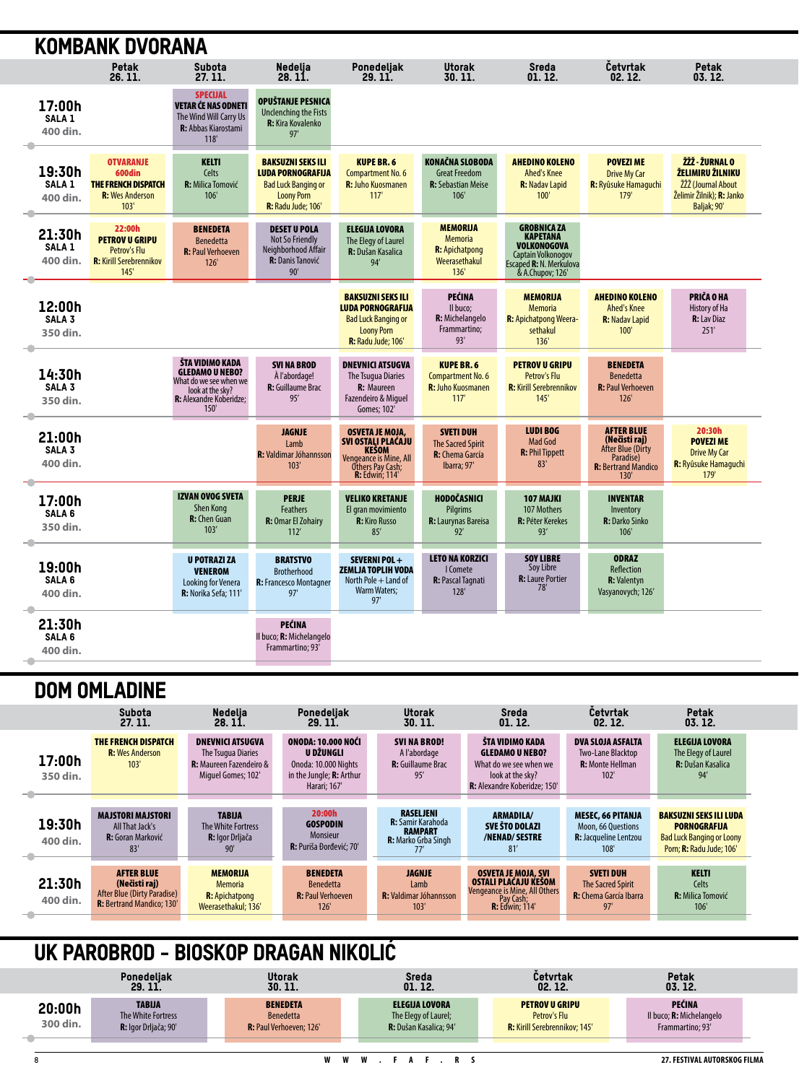| <b>KOMBANK DVORANA</b>                  |                                                                                                  |                                                                                                                                   |                                                                                                                               |                                                                                                                                                   |                                                                                       |                                                                                                                                  |                                                                                                                   |                                                                                                      |
|-----------------------------------------|--------------------------------------------------------------------------------------------------|-----------------------------------------------------------------------------------------------------------------------------------|-------------------------------------------------------------------------------------------------------------------------------|---------------------------------------------------------------------------------------------------------------------------------------------------|---------------------------------------------------------------------------------------|----------------------------------------------------------------------------------------------------------------------------------|-------------------------------------------------------------------------------------------------------------------|------------------------------------------------------------------------------------------------------|
|                                         | <b>Petak</b><br>26.11.                                                                           | <b>Subota</b><br>27.11.                                                                                                           | <b>Nedelja</b><br>28.11.                                                                                                      | Ponedeljak<br>$29.11$ .                                                                                                                           | <b>Utorak</b><br>30.11.                                                               | <b>Sreda</b><br>01.12.                                                                                                           | <b>Četvrtak</b><br>02.12.                                                                                         | <b>Petak</b><br>03.12.                                                                               |
| 17:00h<br>SALA <sub>1</sub><br>400 din. |                                                                                                  | <b>SPECIJAL</b><br><b>VETAR ĆE NAS ODNETI</b><br>The Wind Will Carry Us<br>R: Abbas Kiarostami<br>118'                            | <b>OPUŠTANJE PESNICA</b><br><b>Unclenching the Fists</b><br><b>R:</b> Kira Kovalenko<br>97'                                   |                                                                                                                                                   |                                                                                       |                                                                                                                                  |                                                                                                                   |                                                                                                      |
| 19:30h<br>SALA 1<br>400 din.            | <b>OTVARANJE</b><br>600din<br><b>THE FRENCH DISPATCH</b><br><b>R:</b> Wes Anderson<br>103'       | <b>KELTI</b><br>Celts<br>R: Milica Tomović<br>106'                                                                                | <b>BAKSUZNI SEKS ILI</b><br><b>LUDA PORNOGRAFIJA</b><br><b>Bad Luck Banging or</b><br><b>Loony Porn</b><br>R: Radu Jude; 106' | <b>KUPE BR. 6</b><br><b>Compartment No. 6</b><br><b>R:</b> Juho Kuosmanen<br>117'                                                                 | <b>KONAČNA SLOBODA</b><br><b>Great Freedom</b><br><b>R:</b> Sebastian Meise<br>106'   | <b>AHEDINO KOLENO</b><br><b>Ahed's Knee</b><br><b>R: Nadav Lapid</b><br>100'                                                     | <b>POVEZI ME</b><br><b>Drive My Car</b><br>R: Ryûsuke Hamaguchi<br>179'                                           | ŽŽŽ - ŽURNAL O<br>ŽELIMIRU ŽILNIKU<br>ŽŽŽ (Journal About<br>Želimir Žilnik); R: Janko<br>Baljak; 90' |
| 21:30h<br>SALA <sub>1</sub><br>400 din. | 22:00h<br><b>PETROV U GRIPU</b><br><b>Petrov's Flu</b><br><b>R:</b> Kirill Serebrennikov<br>145' | <b>BENEDETA</b><br><b>Benedetta</b><br><b>R:</b> Paul Verhoeven<br>126'                                                           | <b>DESET U POLA</b><br><b>Not So Friendly</b><br>Neighborhood Affair<br><b>R:</b> Danis Tanović<br>90'                        | <b>ELEGIJA LOVORA</b><br>The Elegy of Laurel<br>R: Dušan Kasalica<br>94'                                                                          | <b>MEMORIJA</b><br><b>Memoria</b><br><b>R:</b> Apichatpong<br>Weerasethakul<br>136'   | <b>GROBNICA ZA</b><br><b>KAPETANA</b><br><b>VOLKONOGOVA</b><br>Captain Volkonogov<br>Escaped R: N. Merkulova<br>& A.Chupov; 126' |                                                                                                                   |                                                                                                      |
| 12:00h<br>SALA <sub>3</sub><br>350 din. |                                                                                                  |                                                                                                                                   |                                                                                                                               | <b>BAKSUZNI SEKS ILI</b><br><b>LUDA PORNOGRAFIJA</b><br><b>Bad Luck Banging or</b><br><b>Loony Porn</b><br>R: Radu Jude; 106'                     | <b>PEĆINA</b><br>Il buco;<br>R: Michelangelo<br>Frammartino;<br>93'                   | <b>MEMORIJA</b><br><b>Memoria</b><br>R: Apichatpong Weera-<br>sethakul<br>136'                                                   | <b>AHEDINO KOLENO</b><br><b>Ahed's Knee</b><br><b>R: Nadav Lapid</b><br>100'                                      | <b>PRIČA O HA</b><br>History of Ha<br><b>R:</b> Lav Diaz<br>251'                                     |
| 14:30h<br>SALA <sub>3</sub><br>350 din. |                                                                                                  | ŠTA VIDIMO KADA<br><b>GLEDAMO U NEBO?</b><br>What do we see when we<br>look at the sky?<br><b>R:</b> Alexandre Koberidze;<br>150' | <b>SVI NA BROD</b><br>À l'abordage!<br>R: Guillaume Brac<br>95'                                                               | <b>DNEVNICI ATSUGVA</b><br>The Tsugua Diaries<br><b>R:</b> Maureen<br>Fazendeiro & Miguel<br>Gomes; 102'                                          | <b>KUPE BR. 6</b><br><b>Compartment No. 6</b><br><b>R:</b> Juho Kuosmanen<br>117'     | <b>PETROV U GRIPU</b><br>Petrov's Flu<br><b>R:</b> Kirill Serebrennikov<br>145'                                                  | <b>BENEDETA</b><br><b>Benedetta</b><br><b>R:</b> Paul Verhoeven<br>126'                                           |                                                                                                      |
| 21:00h<br>SALA <sub>3</sub><br>400 din. |                                                                                                  |                                                                                                                                   | <b>JAGNJE</b><br>Lamb<br><b>R:</b> Valdimar Jóhannsson<br>103'                                                                | <b>OSVETA JE MOJA,</b><br><b>SVI OSTALI PLAĆAJU</b><br><b>KESOM</b><br><b>Vengeance is Mine, All</b><br>Others Pay Cash;<br><b>R:</b> Edwin; 114' | <b>SVETI DUH</b><br><b>The Sacred Spirit</b><br><b>R:</b> Chema García<br>Ibarra; 97' | <b>LUDI BOG</b><br>Mad God<br><b>R:</b> Phil Tippett<br>83'                                                                      | <b>AFTER BLUE</b><br>(Nečisti raj)<br><b>After Blue (Dirty</b><br>Paradise)<br><b>R:</b> Bertrand Mandico<br>130' | 20:30h<br><b>POVEZI ME</b><br><b>Drive My Car</b><br>R: Ryûsuke Hamaguchi<br>179'                    |
| 17:00h<br>SALA <sub>6</sub><br>350 din. |                                                                                                  | <b>IZVAN OVOG SVETA</b><br>Shen Kong<br><b>R:</b> Chen Guan<br>103'                                                               | <b>PERJE</b><br><b>Feathers</b><br>R: Omar El Zohairy<br>112'                                                                 | <b>VELIKO KRETANJE</b><br>El gran movimiento<br>R: Kiro Russo<br>85'                                                                              | HODOČASNICI<br>Pilgrims<br>R: Laurynas Bareisa<br>92'                                 | 107 MAJKI<br>107 Mothers<br>R: Péter Kerekes<br>93'                                                                              | <b>INVENTAR</b><br>Inventory<br><b>R:</b> Darko Sinko<br>106'                                                     |                                                                                                      |
| 19:00h<br>SALA <sub>6</sub><br>400 din. |                                                                                                  | <b>U POTRAZI ZA</b><br><b>VENEROM</b><br><b>Looking for Venera</b><br>R: Norika Sefa; 111'                                        | <b>BRATSTVO</b><br><b>Brotherhood</b><br>R: Francesco Montagner<br>97'                                                        | SEVERNI POL+<br>ZEMLJA TOPLIH VODA<br>North Pole + Land of<br><b>Warm Waters;</b><br>97'                                                          | <b>LETO NA KORZICI</b><br>I Comete<br>R: Pascal Tagnati<br>128'                       | <b>SOY LIBRE</b><br>Soy Libre<br><b>R:</b> Laure Portier<br>78'                                                                  | <b>ODRAZ</b><br>Reflection<br><b>R:</b> Valentyn<br>Vasyanovych; 126'                                             |                                                                                                      |
| 21:30h<br>SALA <sub>6</sub><br>400 din. |                                                                                                  |                                                                                                                                   | <b>PEĆINA</b><br>Il buco; R: Michelangelo<br>Frammartino; 93'                                                                 |                                                                                                                                                   |                                                                                       |                                                                                                                                  |                                                                                                                   |                                                                                                      |

#### DOM OMLADINE

|                    | <b>Subota</b><br>27.11.                                                                                      | <b>Nedelja</b><br>28.11.                                                                                   | Ponedeljak<br>29.11.                                                                                               | <b>Utorak</b><br>30.11.                                                                             | <b>Sreda</b><br>01.12.                                                                                                           | <b>Cetvrtak</b><br>02.12.                                                              | <b>Petak</b><br>03.12.                                                                                               |
|--------------------|--------------------------------------------------------------------------------------------------------------|------------------------------------------------------------------------------------------------------------|--------------------------------------------------------------------------------------------------------------------|-----------------------------------------------------------------------------------------------------|----------------------------------------------------------------------------------------------------------------------------------|----------------------------------------------------------------------------------------|----------------------------------------------------------------------------------------------------------------------|
| 17:00h<br>350 din. | <b>THE FRENCH DISPATCH</b><br><b>R:</b> Wes Anderson<br>103'                                                 | <b>DNEVNICI ATSUGVA</b><br>The Tsugua Diaries<br>$\mathsf{R}$ : Maureen Fazendeiro &<br>Miguel Gomes; 102' | <b>ONODA: 10.000 NOĆI</b><br>U DŽUNGLI<br>Onoda: 10.000 Nights<br>in the Jungle; <b>R</b> : Arthur<br>Harari; 167' | <b>SVI NA BROD!</b><br>A l'abordage<br><b>R:</b> Guillaume Brac<br>95'                              | ŠTA VIDIMO KADA<br><b>GLEDAMO U NEBO?</b><br>What do we see when we<br>look at the sky?<br><b>R:</b> Alexandre Koberidze; 150'   | <b>DVA SLOJA ASFALTA</b><br>Two-Lane Blacktop<br><b>R:</b> Monte Hellman<br>102'       | <b>ELEGIJA LOVORA</b><br>The Elegy of Laurel<br><b>R:</b> Dušan Kasalica<br>94'                                      |
| 19:30h<br>400 din. | <b>MAJSTORI MAJSTORI</b><br>All That Jack's<br><b>R:</b> Goran Marković<br>83'                               | <b>TABIJA</b><br>The White Fortress<br>R: Igor Drljača<br>90'                                              | 20:00h<br><b>GOSPODIN</b><br><b>Monsieur</b><br>R: Puriša Đorđević; 70'                                            | <b>RASELJENI</b><br><b>R:</b> Samir Karahoda<br><b>RAMPART</b><br><b>R:</b> Marko Grba Singh<br>77' | <b>ARMADILA/</b><br><b>SVE ŠTO DOLAZI</b><br><b>/NENAD/SESTRE</b><br>81'                                                         | <b>MESEC, 66 PITANJA</b><br>Moon, 66 Questions<br><b>R:</b> Jacqueline Lentzou<br>108' | <b>BAKSUZNI SEKS ILI LUDA</b><br><b>PORNOGRAFIJA</b><br><b>Bad Luck Banging or Loony</b><br>Porn; R: Radu Jude; 106' |
| 21:30h<br>400 din. | <b>AFTER BLUE</b><br>(Nečisti raj)<br><b>After Blue (Dirty Paradise)</b><br><b>R:</b> Bertrand Mandico; 130' | <b>MEMORIJA</b><br><b>Memoria</b><br><b>R:</b> Apichatpong<br>Weerasethakul; 136'                          | <b>BENEDETA</b><br><b>Benedetta</b><br><b>R:</b> Paul Verhoeven<br>126'                                            | <b>JAGNJE</b><br>Lamb<br><b>R:</b> Valdimar Jóhannsson<br>103'                                      | <b>OSVETA JE MOJA, SVI</b><br>OSTALI PLAĆAJU KEŠOM<br><b>Vengeance is Mine, All Others</b><br>Pay Cash;<br><b>R:</b> Edwin; 114' | <b>SVETI DUH</b><br><b>The Sacred Spirit</b><br><b>R:</b> Chema García Ibarra<br>97'   | <b>KELTI</b><br>Celts<br><b>R:</b> Milica Tomović<br>106'                                                            |

### UK PAROBROD - BIOSKOP DRAGAN NIKOLIĆ

|                    | <b>Ponedeljak</b>                                           | <b>Utorak</b>                                                         | <b>Sreda</b>                                                                   | Cetvrtak                                                                             | <b>Petak</b>                                                  |  |
|--------------------|-------------------------------------------------------------|-----------------------------------------------------------------------|--------------------------------------------------------------------------------|--------------------------------------------------------------------------------------|---------------------------------------------------------------|--|
|                    | 29.11.                                                      | 30.11.                                                                | 01.12.                                                                         | 02.12.                                                                               | 03.12.                                                        |  |
| 20:00h<br>300 din. | <b>TABIJA</b><br>The White Fortress<br>R: Igor Drljača; 90' | <b>BENEDETA</b><br><b>Benedetta</b><br><b>R:</b> Paul Verhoeven; 126' | <b>ELEGIJA LOVORA</b><br>The Elegy of Laurel;<br><b>R:</b> Dušan Kasalica; 94' | <b>PETROV U GRIPU</b><br><b>Petrov's Flu</b><br><b>R:</b> Kirill Serebrennikov; 145' | <b>PEĆINA</b><br>Il buco; R: Michelangelo<br>Frammartino; 93' |  |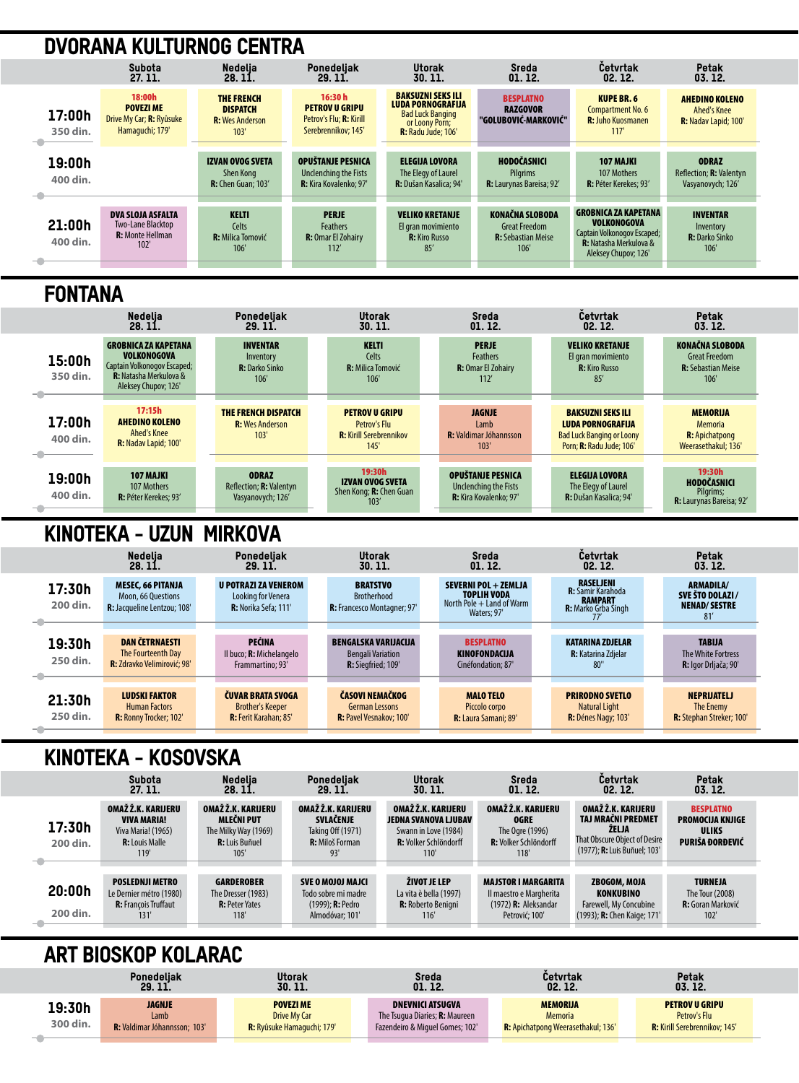